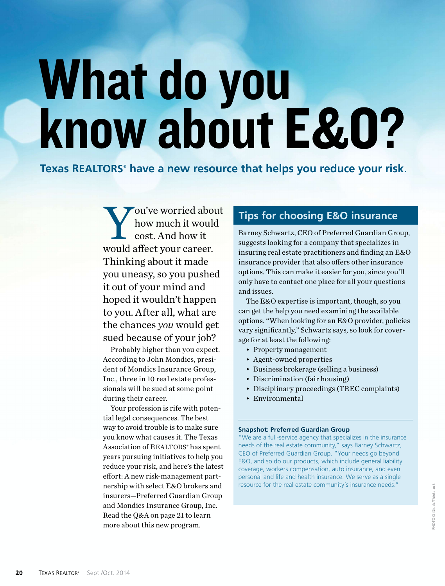# What do you know about E&O?

**Texas REALTORS® have a new resource that helps you reduce your risk.**

Y<br>would: ou've worried about how much it would cost. And how it would afect your career. Thinking about it made you uneasy, so you pushed it out of your mind and hoped it wouldn't happen to you. After all, what are the chances *you* would get sued because of your job?

Probably higher than you expect. According to John Mondics, president of Mondics Insurance Group, Inc., three in 10 real estate professionals will be sued at some point during their career.

Your profession is rife with potential legal consequences. The best way to avoid trouble is to make sure you know what causes it. The Texas Association of REALTORS<sup>®</sup> has spent years pursuing initiatives to help you reduce your risk, and here's the latest efort: A new risk-management partnership with select E&O brokers and insurers—Preferred Guardian Group and Mondics Insurance Group, Inc. Read the Q&A on page 21 to learn more about this new program.

# **Tips for choosing E&O insurance**

Barney Schwartz, CEO of Preferred Guardian Group, suggests looking for a company that specializes in insuring real estate practitioners and fnding an E&O insurance provider that also offers other insurance options. This can make it easier for you, since you'll only have to contact one place for all your questions and issues.

The E&O expertise is important, though, so you can get the help you need examining the available options. "When looking for an E&O provider, policies vary signifcantly," Schwartz says, so look for coverage for at least the following:

- Property management
- Agent-owned properties
- Business brokerage (selling a business)
- Discrimination (fair housing)
- Disciplinary proceedings (TREC complaints)
- Environmental

### **Snapshot: Preferred Guardian Group**

"We are a full-service agency that specializes in the insurance needs of the real estate community," says Barney Schwartz, CEO of Preferred Guardian Group. "Your needs go beyond E&O, and so do our products, which include general liability coverage, workers compensation, auto insurance, and even personal and life and health insurance. We serve as a single resource for the real estate community's insurance needs."